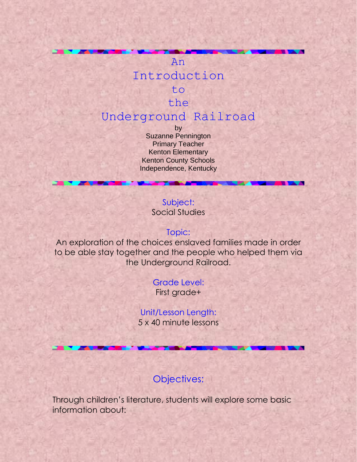# An Introduction to the

# Underground Railroad

by Suzanne Pennington Primary Teacher Kenton Elementary Kenton County Schools Independence, Kentucky

### Subject: Social Studies

### Topic:

An exploration of the choices enslaved families made in order to be able stay together and the people who helped them via the Underground Railroad.

### Grade Level:

First grade+

### Unit/Lesson Length: 5 x 40 minute lessons

### Objectives:

Through children's literature, students will explore some basic information about: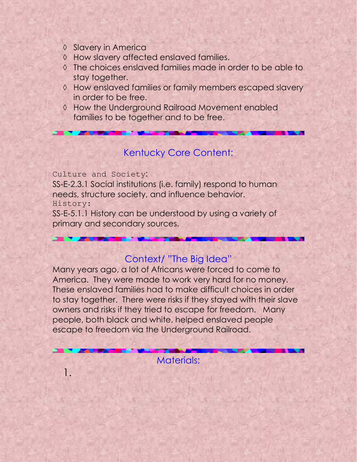- ♦ Slavery in America
- How slavery affected enslaved families.
- The choices enslaved families made in order to be able to stay together.
- $\Diamond$  How enslaved families or family members escaped slavery in order to be free.
- ♦ How the Underground Railroad Movement enabled families to be together and to be free.

## Kentucky Core Content:

Culture and Society:

SS-E-2.3.1 Social institutions (i.e. family) respond to human needs, structure society, and influence behavior. History:

SS-E-5.1.1 History can be understood by using a variety of primary and secondary sources.

### Context/ "The Big Idea"

Many years ago, a lot of Africans were forced to come to America. They were made to work very hard for no money. These enslaved families had to make difficult choices in order to stay together. There were risks if they stayed with their slave owners and risks if they tried to escape for freedom. Many people, both black and white, helped enslaved people escape to freedom via the Underground Railroad.

Materials:

1.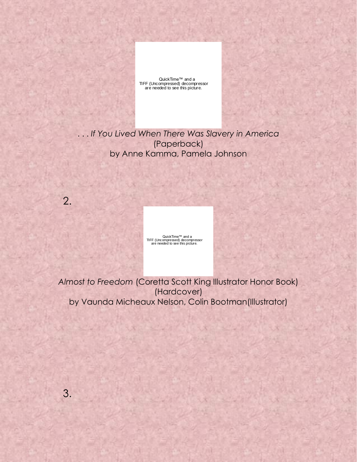QuickTime<sup>™</sup> and a TIFF (Uncompressed) decompressor are needed to see this picture.

. . . *If You Lived When There Was Slavery in America* (Paperback) by Anne Kamma, Pamela Johnson

QuickTime™ and a<br>TIFF (Uncompressed) decompressor<br>are needed to see this picture.

*Almost to Freedom* (Coretta Scott King Illustrator Honor Book) (Hardcover) by Vaunda Micheaux Nelson, Colin Bootman(Illustrator)

2.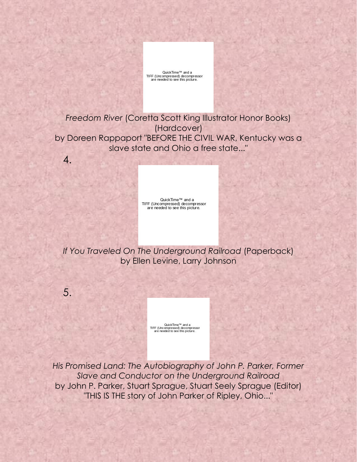

*Freedom River* (Coretta Scott King Illustrator Honor Books) (Hardcover) by Doreen Rappaport "BEFORE THE CIVIL WAR, Kentucky was a slave state and Ohio a free state..."

QuickTime™ and a<br>TIFF (Uncompressed) decompressor<br>are needed to see this picture.

*If You Traveled On The Underground Railroad* (Paperback) by Ellen Levine, Larry Johnson

5.

4.

QuickTime™ and a<br>TIFF (Uncompressed) decompressor<br>are needed to see this picture.

*His Promised Land: The Autobiography of John P. Parker, Former Slave and Conductor on the Underground Railroad* by John P. Parker, Stuart Sprague, Stuart Seely Sprague (Editor) "THIS IS THE story of John Parker of Ripley, Ohio..."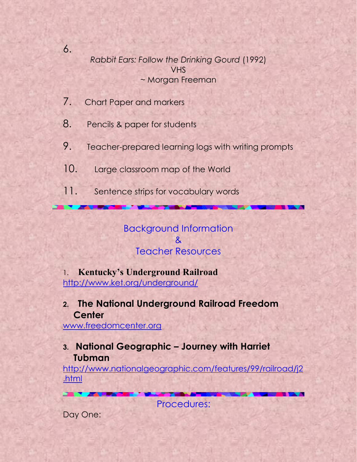*Rabbit Ears: Follow the Drinking Gourd* (1992) VHS ~ Morgan Freeman

7. Chart Paper and markers

6.

8. Pencils & paper for students

- 9. Teacher-prepared learning logs with writing prompts
- 10. Large classroom map of the World
- 11. Sentence strips for vocabulary words

Background Information & Teacher Resources

1. **Kentucky's Underground Railroad** <http://www.ket.org/underground/>

**2. The National Underground Railroad Freedom Center** 

[www.freedomcenter.org](http://www.freedomcenter.org/)

# **3. National Geographic – Journey with Harriet Tubman**

[http://www.nationalgeographic.com/features/99/railroad/j2](http://www.nationalgeographic.com/features/99/railroad/j2.html) [.html](http://www.nationalgeographic.com/features/99/railroad/j2.html)

Procedures:

Day One: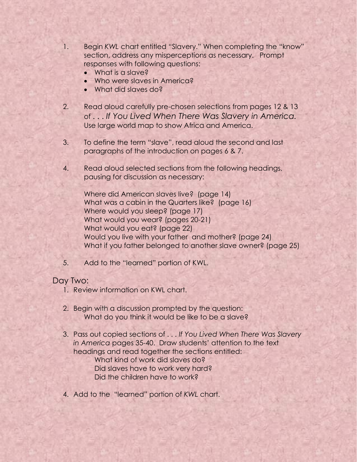- 1. Begin *KWL* chart entitled "Slavery." When completing the "know" section, address any misperceptions as necessary. Prompt responses with following questions:
	- What is a slave?
	- Who were slaves in America?
	- What did slaves do?
- 2. Read aloud carefully pre-chosen selections from pages 12 & 13 of . . . *If You Lived When There Was Slavery in America.* Use large world map to show Africa and America.
- 3. To define the term "slave", read aloud the second and last paragraphs of the introduction on pages 6 & 7.
- 4. Read aloud selected sections from the following headings, pausing for discussion as necessary:

Where did American slaves live? (page 14) What was a cabin in the Quarters like? (page 16) Where would you sleep? (page 17) What would you wear? (pages 20-21) What would you eat? (page 22) Would you live with your father and mother? (page 24) What if you father belonged to another slave owner? (page 25)

5. Add to the "learned" portion of KWL.

#### Day Two:

- 1. Review information on KWL chart.
- 2. Begin with a discussion prompted by the question: What do you think it would be like to be a slave?
- 3. Pass out copied sections of . . . *If You Lived When There Was Slavery in America* pages 35-40. Draw students' attention to the text headings and read together the sections entitled:

What kind of work did slaves do? Did slaves have to work very hard? Did the children have to work?

4. Add to the "learned" portion of *KWL* chart.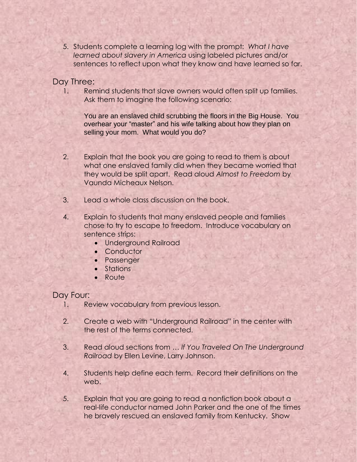5. Students complete a learning log with the prompt: *What I have learned about slavery in America* using labeled pictures and/or sentences to reflect upon what they know and have learned so far.

Day Three:

1. Remind students that slave owners would often split up families. Ask them to imagine the following scenario:

You are an enslaved child scrubbing the floors in the Big House. You overhear your "master" and his wife talking about how they plan on selling your mom. What would you do?

- 2. Explain that the book you are going to read to them is about what one enslaved family did when they became worried that they would be split apart. Read aloud *Almost to Freedom* by Vaunda Micheaux Nelson.
- 3. Lead a whole class discussion on the book.
- 4. Explain to students that many enslaved people and families chose to try to escape to freedom. Introduce vocabulary on sentence strips:
	- Underground Railroad
	- Conductor
	- **•** Passenger
	- Stations
	- Route

#### Day Four:

- 1. Review vocabulary from previous lesson.
- 2. Create a web with "Underground Railroad" in the center with the rest of the terms connected.
- 3. Read aloud sections from … *If You Traveled On The Underground Railroad* by Ellen Levine, Larry Johnson.
- 4. Students help define each term. Record their definitions on the web.
- 5. Explain that you are going to read a nonfiction book about a real-life conductor named John Parker and the one of the times he bravely rescued an enslaved family from Kentucky. Show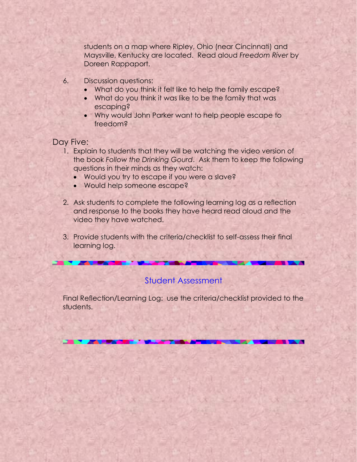students on a map where Ripley, Ohio (near Cincinnati) and Maysville, Kentucky are located. Read aloud *Freedom River* by Doreen Rappaport.

- 6. Discussion questions:
	- What do you think it felt like to help the family escape?
	- What do you think it was like to be the family that was escaping?
	- Why would John Parker want to help people escape to freedom?

### Day Five:

- 1. Explain to students that they will be watching the video version of the book *Follow the Drinking Gourd*. Ask them to keep the following questions in their minds as they watch:
	- Would you try to escape if you were a slave?
	- Would help someone escape?
- 2. Ask students to complete the following learning log as a reflection and response to the books they have heard read aloud and the video they have watched.
- 3. Provide students with the criteria/checklist to self-assess their final learning log.

### Student Assessment

Final Reflection/Learning Log: use the criteria/checklist provided to the students.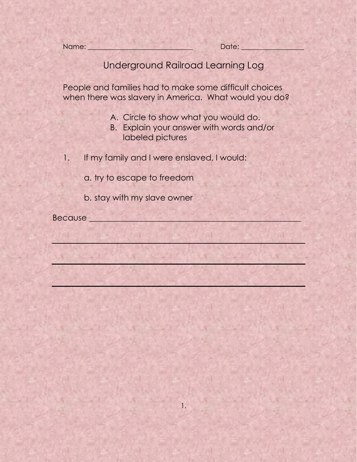Name: et al. 2010 and 2010 and 2010 and 2010 and 2010 and 2010 and 2010 and 2010 and 2010 and 2010 and 2010 and 2010 and 2010 and 2010 and 2010 and 2010 and 2010 and 2010 and 2010 and 2010 and 2010 and 2010 and 2010 and 20

# Underground Railroad Learning Log

People and families had to make some difficult choices when there was slavery in America. What would you do?

- A. Circle to show what you would do.
- B. Explain your answer with words and/or labeled pictures

i xxabe

- 1. If my family and I were enslaved, I would:
	- a. try to escape to freedom
	- b. stay with my slave owner

Because \_\_\_\_\_\_\_\_\_\_\_\_\_\_\_\_\_\_\_\_\_\_\_\_\_\_\_\_\_\_\_\_\_\_\_\_\_\_\_\_\_\_\_\_\_\_\_\_\_\_\_\_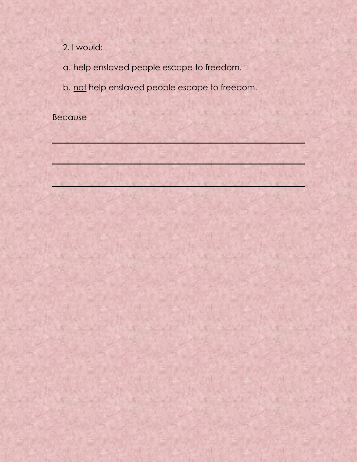2. I would:

a. help enslaved people escape to freedom.

b. not help enslaved people escape to freedom.

Because \_\_\_\_\_\_\_\_\_\_\_\_\_\_\_\_\_\_\_\_\_\_\_\_\_\_\_\_\_\_\_\_\_\_\_\_\_\_\_\_\_\_\_\_\_\_\_\_\_\_\_\_